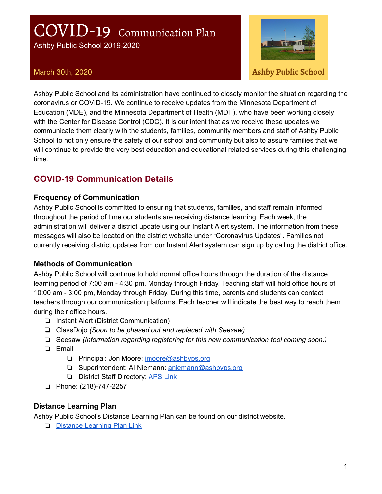# COVID-19 Communication Plan

Ashby Public School 2019-2020



March 30th, 2020 **Ashby Public School**

Ashby Public School and its administration have continued to closely monitor the situation regarding the coronavirus or COVID-19. We continue to receive updates from the Minnesota Department of Education (MDE), and the Minnesota Department of Health (MDH), who have been working closely with the Center for Disease Control (CDC). It is our intent that as we receive these updates we communicate them clearly with the students, families, community members and staff of Ashby Public School to not only ensure the safety of our school and community but also to assure families that we will continue to provide the very best education and educational related services during this challenging time.

## **COVID-19 Communication Details**

#### **Frequency of Communication**

Ashby Public School is committed to ensuring that students, families, and staff remain informed throughout the period of time our students are receiving distance learning. Each week, the administration will deliver a district update using our Instant Alert system. The information from these messages will also be located on the district website under "Coronavirus Updates". Families not currently receiving district updates from our Instant Alert system can sign up by calling the district office.

#### **Methods of Communication**

Ashby Public School will continue to hold normal office hours through the duration of the distance learning period of 7:00 am - 4:30 pm, Monday through Friday. Teaching staff will hold office hours of 10:00 am - 3:00 pm, Monday through Friday. During this time, parents and students can contact teachers through our communication platforms. Each teacher will indicate the best way to reach them during their office hours.

- ❏ Instant Alert (District Communication)
- ❏ ClassDojo *(Soon to be phased out and replaced with Seesaw)*
- ❏ Seesaw *(Information regarding registering for this new communication tool coming soon.)*
- ❏ Email
	- ❏ Principal: Jon Moore: [jmoore@ashbyps.org](mailto:jmoore@ashbyps.org)
	- ❏ Superintendent: Al Niemann: [aniemann@ashbyps.org](mailto:aniemann@ashbyps.org)
	- ❏ District Staff Directory: [APS](https://sites.google.com/a/ashbyps.org/aps-directory/) Link
- ❏ Phone: (218)-747-2257

#### **Distance Learning Plan**

Ashby Public School's Distance Learning Plan can be found on our district website.

❏ Distance [Learning](https://www.ashby.k12.mn.us/distance-learning.html) Plan Link